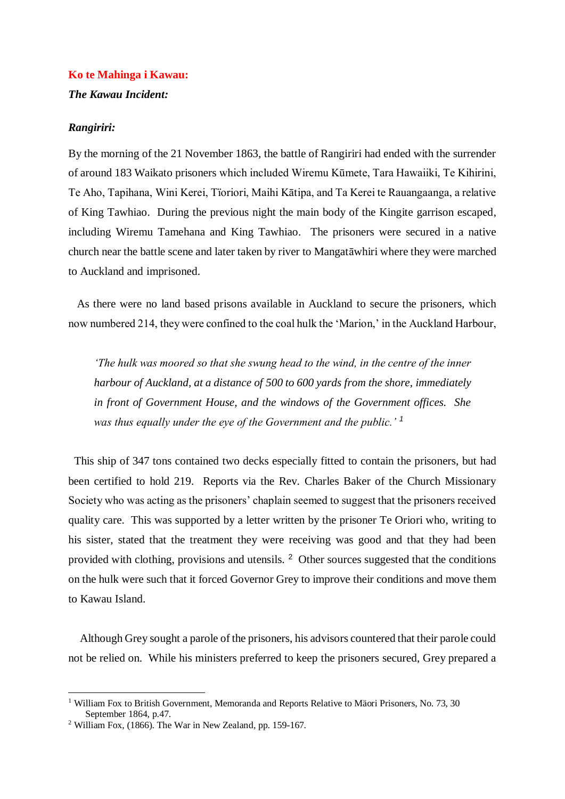# **Ko te Mahinga i Kawau:**

## *The Kawau Incident:*

### *Rangiriri:*

By the morning of the 21 November 1863, the battle of Rangiriri had ended with the surrender of around 183 Waikato prisoners which included Wiremu Kūmete, Tara Hawaiiki, Te Kihirini, Te Aho, Tapihana, Wini Kerei, Tïoriori, Maihi Kātipa, and Ta Kerei te Rauangaanga, a relative of King Tawhiao. During the previous night the main body of the Kingite garrison escaped, including Wiremu Tamehana and King Tawhiao. The prisoners were secured in a native church near the battle scene and later taken by river to Mangatāwhiri where they were marched to Auckland and imprisoned.

 As there were no land based prisons available in Auckland to secure the prisoners, which now numbered 214, they were confined to the coal hulk the 'Marion,' in the Auckland Harbour,

*'The hulk was moored so that she swung head to the wind, in the centre of the inner harbour of Auckland, at a distance of 500 to 600 yards from the shore, immediately in front of Government House, and the windows of the Government offices. She was thus equally under the eye of the Government and the public.' <sup>1</sup>*

 This ship of 347 tons contained two decks especially fitted to contain the prisoners, but had been certified to hold 219. Reports via the Rev. Charles Baker of the Church Missionary Society who was acting as the prisoners' chaplain seemed to suggest that the prisoners received quality care. This was supported by a letter written by the prisoner Te Oriori who, writing to his sister, stated that the treatment they were receiving was good and that they had been provided with clothing, provisions and utensils. <sup>2</sup> Other sources suggested that the conditions on the hulk were such that it forced Governor Grey to improve their conditions and move them to Kawau Island.

 Although Grey sought a parole of the prisoners, his advisors countered that their parole could not be relied on. While his ministers preferred to keep the prisoners secured, Grey prepared a

1

<sup>&</sup>lt;sup>1</sup> William Fox to British Government, Memoranda and Reports Relative to Mäori Prisoners, No. 73, 30 September 1864, p.47.

<sup>2</sup> William Fox, (1866). The War in New Zealand, pp. 159-167.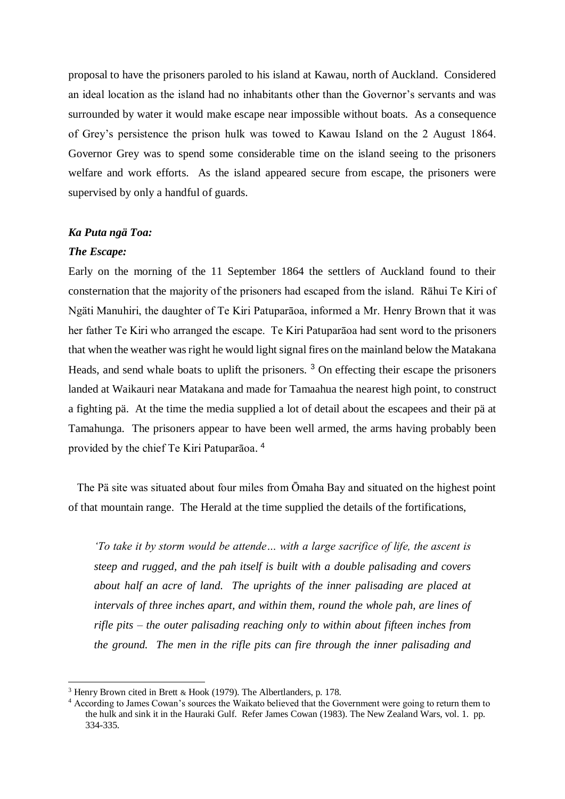proposal to have the prisoners paroled to his island at Kawau, north of Auckland. Considered an ideal location as the island had no inhabitants other than the Governor's servants and was surrounded by water it would make escape near impossible without boats. As a consequence of Grey's persistence the prison hulk was towed to Kawau Island on the 2 August 1864. Governor Grey was to spend some considerable time on the island seeing to the prisoners welfare and work efforts. As the island appeared secure from escape, the prisoners were supervised by only a handful of guards.

### *Ka Puta ngä Toa:*

#### *The Escape:*

1

Early on the morning of the 11 September 1864 the settlers of Auckland found to their consternation that the majority of the prisoners had escaped from the island. Rāhui Te Kiri of Ngäti Manuhiri, the daughter of Te Kiri Patuparāoa, informed a Mr. Henry Brown that it was her father Te Kiri who arranged the escape. Te Kiri Patuparāoa had sent word to the prisoners that when the weather was right he would light signal fires on the mainland below the Matakana Heads, and send whale boats to uplift the prisoners. <sup>3</sup> On effecting their escape the prisoners landed at Waikauri near Matakana and made for Tamaahua the nearest high point, to construct a fighting pä. At the time the media supplied a lot of detail about the escapees and their pä at Tamahunga. The prisoners appear to have been well armed, the arms having probably been provided by the chief Te Kiri Patuparāoa. 4

 The Pä site was situated about four miles from Ōmaha Bay and situated on the highest point of that mountain range. The Herald at the time supplied the details of the fortifications,

*'To take it by storm would be attende… with a large sacrifice of life, the ascent is steep and rugged, and the pah itself is built with a double palisading and covers about half an acre of land. The uprights of the inner palisading are placed at intervals of three inches apart, and within them, round the whole pah, are lines of rifle pits – the outer palisading reaching only to within about fifteen inches from the ground. The men in the rifle pits can fire through the inner palisading and* 

<sup>3</sup> Henry Brown cited in Brett & Hook (1979). The Albertlanders, p. 178.

<sup>4</sup> According to James Cowan's sources the Waikato believed that the Government were going to return them to the hulk and sink it in the Hauraki Gulf. Refer James Cowan (1983). The New Zealand Wars, vol. 1. pp. 334-335.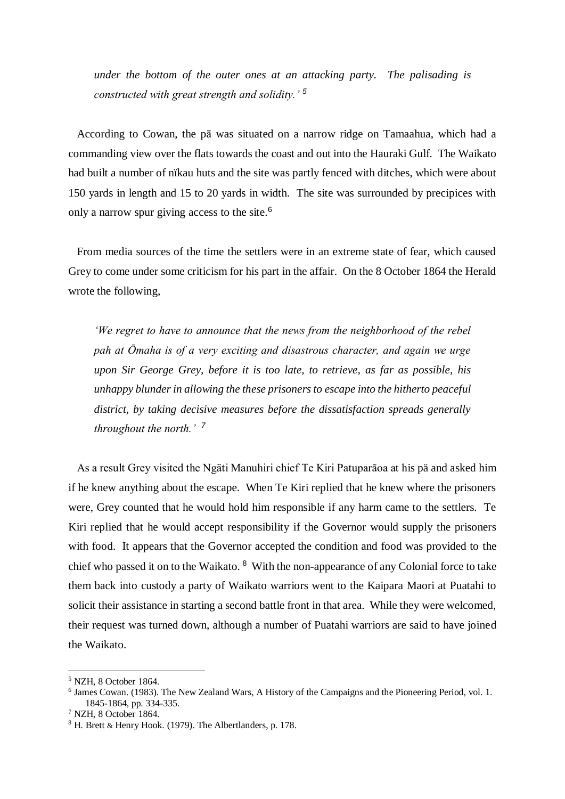*under the bottom of the outer ones at an attacking party. The palisading is constructed with great strength and solidity.' <sup>5</sup>* 

 According to Cowan, the pā was situated on a narrow ridge on Tamaahua, which had a commanding view over the flats towards the coast and out into the Hauraki Gulf. The Waikato had built a number of nïkau huts and the site was partly fenced with ditches, which were about 150 yards in length and 15 to 20 yards in width. The site was surrounded by precipices with only a narrow spur giving access to the site.<sup>6</sup>

 From media sources of the time the settlers were in an extreme state of fear, which caused Grey to come under some criticism for his part in the affair. On the 8 October 1864 the Herald wrote the following,

*'We regret to have to announce that the news from the neighborhood of the rebel pah at Ōmaha is of a very exciting and disastrous character, and again we urge upon Sir George Grey, before it is too late, to retrieve, as far as possible, his unhappy blunderin allowing the these prisoners to escape into the hitherto peaceful district, by taking decisive measures before the dissatisfaction spreads generally throughout the north.' <sup>7</sup>*

 As a result Grey visited the Ngäti Manuhiri chief Te Kiri Patuparāoa at his pä and asked him if he knew anything about the escape. When Te Kiri replied that he knew where the prisoners were, Grey counted that he would hold him responsible if any harm came to the settlers. Te Kiri replied that he would accept responsibility if the Governor would supply the prisoners with food. It appears that the Governor accepted the condition and food was provided to the chief who passed it on to the Waikato. <sup>8</sup> With the non-appearance of any Colonial force to take them back into custody a party of Waikato warriors went to the Kaipara Maori at Puatahi to solicit their assistance in starting a second battle front in that area. While they were welcomed, their request was turned down, although a number of Puatahi warriors are said to have joined the Waikato.

1

<sup>5</sup> NZH, 8 October 1864.

<sup>&</sup>lt;sup>6</sup> James Cowan. (1983). The New Zealand Wars, A History of the Campaigns and the Pioneering Period, vol. 1. 1845-1864, pp. 334-335.

<sup>7</sup> NZH, 8 October 1864.

<sup>8</sup> H. Brett & Henry Hook. (1979). The Albertlanders, p. 178.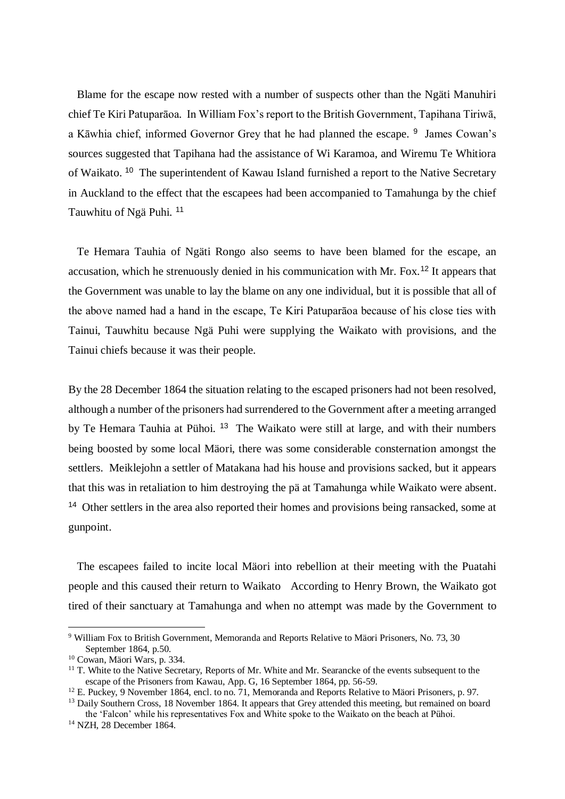Blame for the escape now rested with a number of suspects other than the Ngäti Manuhiri chief Te Kiri Patuparāoa. In William Fox's report to the British Government, Tapihana Tiriwā, a Kāwhia chief, informed Governor Grey that he had planned the escape. <sup>9</sup> James Cowan's sources suggested that Tapihana had the assistance of Wi Karamoa, and Wiremu Te Whitiora of Waikato.<sup>10</sup> The superintendent of Kawau Island furnished a report to the Native Secretary in Auckland to the effect that the escapees had been accompanied to Tamahunga by the chief Tauwhitu of Ngä Puhi. <sup>11</sup>

 Te Hemara Tauhia of Ngäti Rongo also seems to have been blamed for the escape, an accusation, which he strenuously denied in his communication with Mr. Fox.<sup>12</sup> It appears that the Government was unable to lay the blame on any one individual, but it is possible that all of the above named had a hand in the escape, Te Kiri Patuparāoa because of his close ties with Tainui, Tauwhitu because Ngä Puhi were supplying the Waikato with provisions, and the Tainui chiefs because it was their people.

By the 28 December 1864 the situation relating to the escaped prisoners had not been resolved, although a number of the prisoners had surrendered to the Government after a meeting arranged by Te Hemara Tauhia at Pühoi. <sup>13</sup> The Waikato were still at large, and with their numbers being boosted by some local Mäori, there was some considerable consternation amongst the settlers. Meiklejohn a settler of Matakana had his house and provisions sacked, but it appears that this was in retaliation to him destroying the pä at Tamahunga while Waikato were absent. <sup>14</sup> Other settlers in the area also reported their homes and provisions being ransacked, some at gunpoint.

 The escapees failed to incite local Mäori into rebellion at their meeting with the Puatahi people and this caused their return to Waikato According to Henry Brown, the Waikato got tired of their sanctuary at Tamahunga and when no attempt was made by the Government to

1

<sup>&</sup>lt;sup>9</sup> William Fox to British Government, Memoranda and Reports Relative to Mäori Prisoners, No. 73, 30 September 1864, p.50.

<sup>10</sup> Cowan, Mäori Wars, p. 334.

 $11$  T. White to the Native Secretary, Reports of Mr. White and Mr. Searancke of the events subsequent to the escape of the Prisoners from Kawau, App. G, 16 September 1864, pp. 56-59.

<sup>&</sup>lt;sup>12</sup> E. Puckey, 9 November 1864, encl. to no. 71, Memoranda and Reports Relative to Mäori Prisoners, p. 97.

<sup>&</sup>lt;sup>13</sup> Daily Southern Cross, 18 November 1864. It appears that Grey attended this meeting, but remained on board the 'Falcon' while his representatives Fox and White spoke to the Waikato on the beach at Pühoi.

<sup>14</sup> NZH, 28 December 1864.